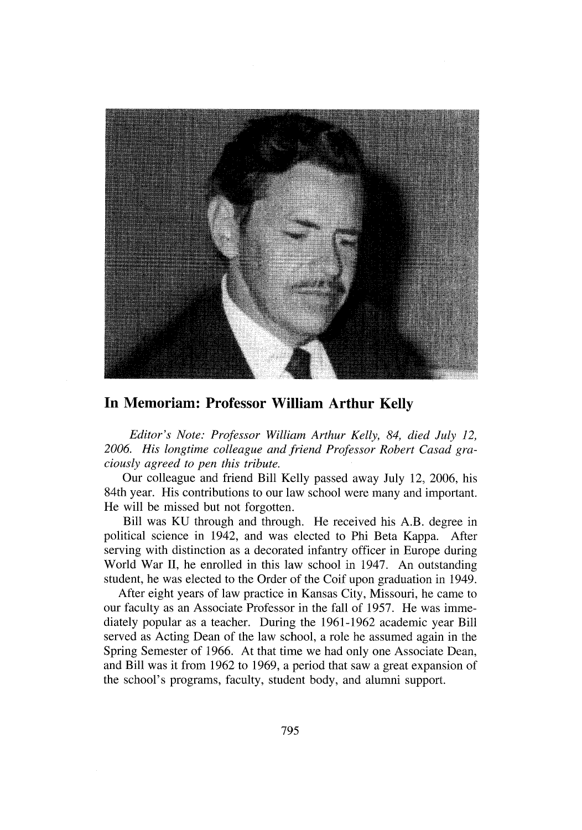

## **In Memoriam: Professor William Arthur Kelly**

*Editor's Note: Professor William Arthur Kelly, 84, died July 12, 2006. His longtime colleague and friend Professor Robert Casad graciously agreed to pen this tribute.*

Our colleague and friend Bill Kelly passed away July 12, 2006, his 84th year. His contributions to our law school were many and important. He will be missed but not forgotten.

Bill was KU through and through. He received his A.B. degree in political science in 1942, and was elected to Phi Beta Kappa. After serving with distinction as a decorated infantry officer in Europe during World War II, he enrolled in this law school in 1947. An outstanding student, he was elected to the Order of the Coif upon graduation in 1949.

After eight years of law practice in Kansas City, Missouri, he came to our faculty as an Associate Professor in the fall of 1957. He was immediately popular as a teacher. During the 1961-1962 academic year Bill served as Acting Dean of the law school, a role he assumed again in the Spring Semester of 1966. At that time we had only one Associate Dean, and Bill was it from 1962 to 1969, a period that saw a great expansion of the school's programs, faculty, student body, and alumni support.